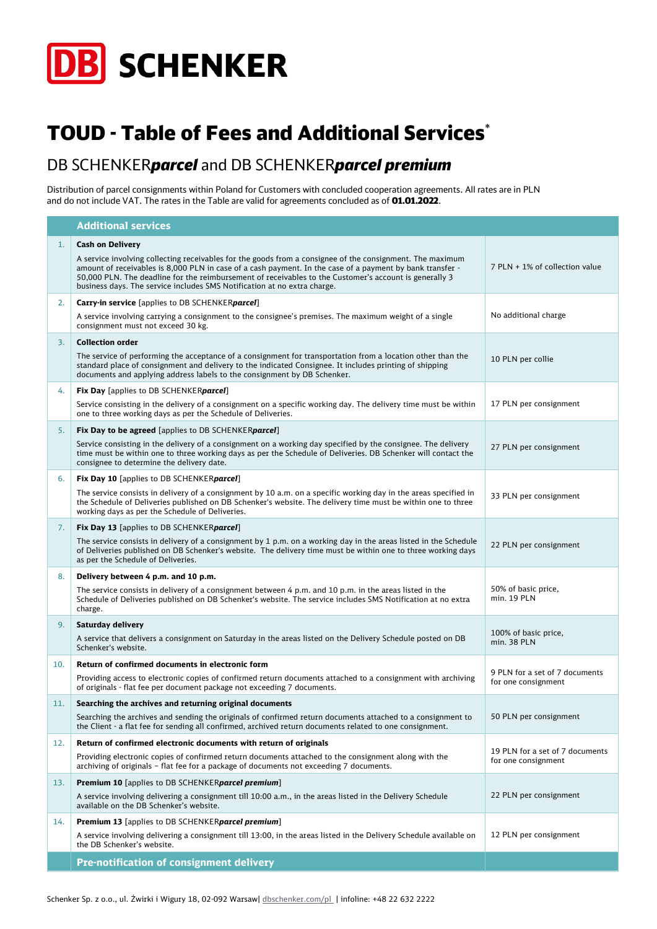

## TOUD - Table of Fees and Additional Services\*

## DB SCHENKER*parcel* and DB SCHENKER*parcel premium*

Distribution of parcel consignments within Poland for Customers with concluded cooperation agreements. All rates are in PLN and do not include VAT. The rates in the Table are valid for agreements concluded as of **01.01.2022**.

|     | <b>Additional services</b>                                                                                                                                                                                                                                                                                                                                                                                   |                                     |
|-----|--------------------------------------------------------------------------------------------------------------------------------------------------------------------------------------------------------------------------------------------------------------------------------------------------------------------------------------------------------------------------------------------------------------|-------------------------------------|
| 1.  | <b>Cash on Delivery</b>                                                                                                                                                                                                                                                                                                                                                                                      |                                     |
|     | A service involving collecting receivables for the goods from a consignee of the consignment. The maximum<br>amount of receivables is 8,000 PLN in case of a cash payment. In the case of a payment by bank transfer -<br>50,000 PLN. The deadline for the reimbursement of receivables to the Customer's account is generally 3<br>business days. The service includes SMS Notification at no extra charge. | 7 PLN + 1% of collection value      |
| 2.  | <b>Carry-in service</b> [applies to DB SCHENKERparce]]                                                                                                                                                                                                                                                                                                                                                       |                                     |
|     | A service involving carrying a consignment to the consignee's premises. The maximum weight of a single<br>consignment must not exceed 30 kg.                                                                                                                                                                                                                                                                 | No additional charge                |
| 3.  | <b>Collection order</b>                                                                                                                                                                                                                                                                                                                                                                                      |                                     |
|     | The service of performing the acceptance of a consignment for transportation from a location other than the<br>standard place of consignment and delivery to the indicated Consignee. It includes printing of shipping<br>documents and applying address labels to the consignment by DB Schenker.                                                                                                           | 10 PLN per collie                   |
| 4.  | Fix Day [applies to DB SCHENKERparcel]                                                                                                                                                                                                                                                                                                                                                                       |                                     |
|     | Service consisting in the delivery of a consignment on a specific working day. The delivery time must be within<br>one to three working days as per the Schedule of Deliveries.                                                                                                                                                                                                                              | 17 PLN per consignment              |
| 5.  | Fix Day to be agreed [applies to DB SCHENKERparcel]                                                                                                                                                                                                                                                                                                                                                          |                                     |
|     | Service consisting in the delivery of a consignment on a working day specified by the consignee. The delivery<br>time must be within one to three working days as per the Schedule of Deliveries. DB Schenker will contact the<br>consignee to determine the delivery date.                                                                                                                                  | 27 PLN per consignment              |
| 6.  | Fix Day 10 [applies to DB SCHENKERparcel]                                                                                                                                                                                                                                                                                                                                                                    |                                     |
|     | The service consists in delivery of a consignment by 10 a.m. on a specific working day in the areas specified in<br>the Schedule of Deliveries published on DB Schenker's website. The delivery time must be within one to three<br>working days as per the Schedule of Deliveries.                                                                                                                          | 33 PLN per consignment              |
| 7.  | Fix Day 13 [applies to DB SCHENKERparcel]                                                                                                                                                                                                                                                                                                                                                                    |                                     |
|     | The service consists in delivery of a consignment by 1 p.m. on a working day in the areas listed in the Schedule<br>of Deliveries published on DB Schenker's website. The delivery time must be within one to three working days<br>as per the Schedule of Deliveries.                                                                                                                                       | 22 PLN per consignment              |
| 8.  | Delivery between 4 p.m. and 10 p.m.                                                                                                                                                                                                                                                                                                                                                                          |                                     |
|     | The service consists in delivery of a consignment between 4 p.m. and 10 p.m. in the areas listed in the<br>Schedule of Deliveries published on DB Schenker's website. The service includes SMS Notification at no extra<br>charge.                                                                                                                                                                           | 50% of basic price,<br>min. 19 PLN  |
| 9.  | Saturday delivery                                                                                                                                                                                                                                                                                                                                                                                            |                                     |
|     | A service that delivers a consignment on Saturday in the areas listed on the Delivery Schedule posted on DB<br>Schenker's website.                                                                                                                                                                                                                                                                           | 100% of basic price,<br>min. 38 PLN |
| 10. | Return of confirmed documents in electronic form                                                                                                                                                                                                                                                                                                                                                             | 9 PLN for a set of 7 documents      |
|     | Providing access to electronic copies of confirmed return documents attached to a consignment with archiving<br>of originals - flat fee per document package not exceeding 7 documents.                                                                                                                                                                                                                      | for one consignment                 |
| 11. | Searching the archives and returning original documents                                                                                                                                                                                                                                                                                                                                                      |                                     |
|     | Searching the archives and sending the originals of confirmed return documents attached to a consignment to<br>the Client - a flat fee for sending all confirmed, archived return documents related to one consignment.                                                                                                                                                                                      | 50 PLN per consignment              |
| 12. | Return of confirmed electronic documents with return of originals                                                                                                                                                                                                                                                                                                                                            | 19 PLN for a set of 7 documents     |
|     | Providing electronic copies of confirmed return documents attached to the consignment along with the<br>archiving of originals - flat fee for a package of documents not exceeding 7 documents.                                                                                                                                                                                                              | for one consignment                 |
| 13. | <b>Premium 10</b> [applies to DB SCHENKER <i>parcel premium</i> ]                                                                                                                                                                                                                                                                                                                                            |                                     |
|     | A service involving delivering a consignment till 10:00 a.m., in the areas listed in the Delivery Schedule<br>available on the DB Schenker's website.                                                                                                                                                                                                                                                        | 22 PLN per consignment              |
| 14. | <b>Premium 13</b> [applies to DB SCHENKER <b>parcel premium</b> ]                                                                                                                                                                                                                                                                                                                                            |                                     |
|     | A service involving delivering a consignment till 13:00, in the areas listed in the Delivery Schedule available on<br>the DB Schenker's website.                                                                                                                                                                                                                                                             | 12 PLN per consignment              |
|     | <b>Pre-notification of consignment delivery</b>                                                                                                                                                                                                                                                                                                                                                              |                                     |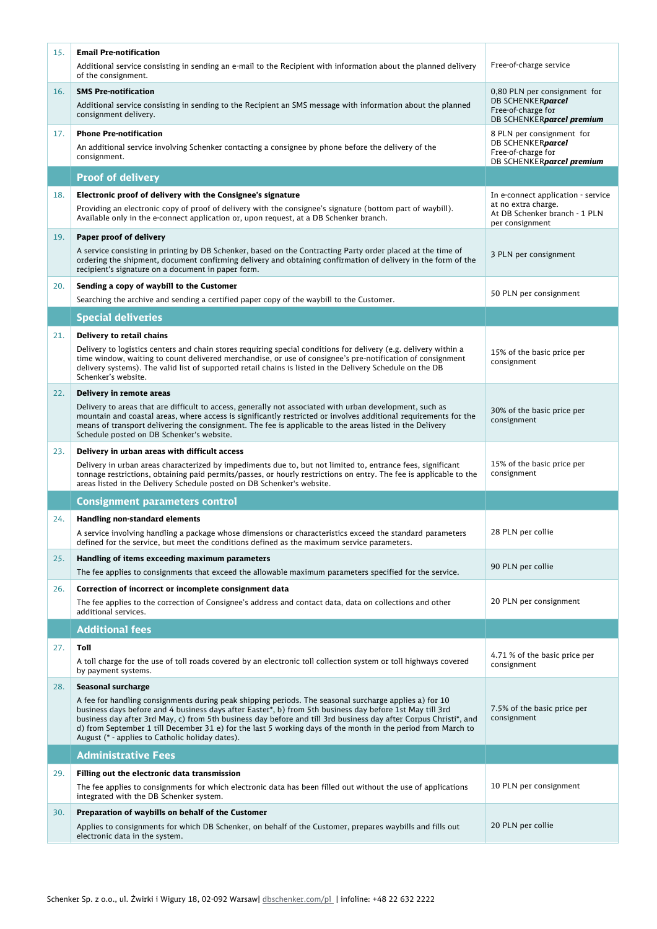| 15. | <b>Email Pre-notification</b>                                                                                                                                                                                                                                                                                                                                                                                                                                                                                                   |                                                                                                      |
|-----|---------------------------------------------------------------------------------------------------------------------------------------------------------------------------------------------------------------------------------------------------------------------------------------------------------------------------------------------------------------------------------------------------------------------------------------------------------------------------------------------------------------------------------|------------------------------------------------------------------------------------------------------|
|     | Additional service consisting in sending an e-mail to the Recipient with information about the planned delivery<br>of the consignment.                                                                                                                                                                                                                                                                                                                                                                                          | Free-of-charge service                                                                               |
| 16. | <b>SMS Pre-notification</b><br>Additional service consisting in sending to the Recipient an SMS message with information about the planned<br>consignment delivery.                                                                                                                                                                                                                                                                                                                                                             | 0,80 PLN per consignment for<br>DB SCHENKERparcel<br>Free-of-charge for<br>DB SCHENKERparcel premium |
| 17. | <b>Phone Pre-notification</b><br>An additional service involving Schenker contacting a consignee by phone before the delivery of the<br>consignment.                                                                                                                                                                                                                                                                                                                                                                            | 8 PLN per consignment for<br>DB SCHENKERparcel<br>Free-of-charge for<br>DB SCHENKERparcel premium    |
|     | <b>Proof of delivery</b>                                                                                                                                                                                                                                                                                                                                                                                                                                                                                                        |                                                                                                      |
| 18. | Electronic proof of delivery with the Consignee's signature                                                                                                                                                                                                                                                                                                                                                                                                                                                                     | In e-connect application - service                                                                   |
|     | Providing an electronic copy of proof of delivery with the consignee's signature (bottom part of waybill).<br>Available only in the e-connect application or, upon request, at a DB Schenker branch.                                                                                                                                                                                                                                                                                                                            | at no extra charge.<br>At DB Schenker branch - 1 PLN<br>per consignment                              |
| 19. | Paper proof of delivery<br>A service consisting in printing by DB Schenker, based on the Contracting Party order placed at the time of                                                                                                                                                                                                                                                                                                                                                                                          | 3 PLN per consignment                                                                                |
|     | ordering the shipment, document confirming delivery and obtaining confirmation of delivery in the form of the<br>recipient's signature on a document in paper form.                                                                                                                                                                                                                                                                                                                                                             |                                                                                                      |
| 20. | Sending a copy of waybill to the Customer                                                                                                                                                                                                                                                                                                                                                                                                                                                                                       | 50 PLN per consignment                                                                               |
|     | Searching the archive and sending a certified paper copy of the waybill to the Customer.                                                                                                                                                                                                                                                                                                                                                                                                                                        |                                                                                                      |
|     | <b>Special deliveries</b>                                                                                                                                                                                                                                                                                                                                                                                                                                                                                                       |                                                                                                      |
| 21. | Delivery to retail chains                                                                                                                                                                                                                                                                                                                                                                                                                                                                                                       |                                                                                                      |
|     | Delivery to logistics centers and chain stores requiring special conditions for delivery (e.g. delivery within a<br>time window, waiting to count delivered merchandise, or use of consignee's pre-notification of consignment<br>delivery systems). The valid list of supported retail chains is listed in the Delivery Schedule on the DB<br>Schenker's website.                                                                                                                                                              | 15% of the basic price per<br>consignment                                                            |
| 22. | Delivery in remote areas                                                                                                                                                                                                                                                                                                                                                                                                                                                                                                        |                                                                                                      |
|     | Delivery to areas that are difficult to access, generally not associated with urban development, such as<br>mountain and coastal areas, where access is significantly restricted or involves additional requirements for the<br>means of transport delivering the consignment. The fee is applicable to the areas listed in the Delivery<br>Schedule posted on DB Schenker's website.                                                                                                                                           | 30% of the basic price per<br>consignment                                                            |
|     |                                                                                                                                                                                                                                                                                                                                                                                                                                                                                                                                 |                                                                                                      |
| 23. | Delivery in urban areas with difficult access                                                                                                                                                                                                                                                                                                                                                                                                                                                                                   |                                                                                                      |
|     | Delivery in urban areas characterized by impediments due to, but not limited to, entrance fees, significant<br>tonnage restrictions, obtaining paid permits/passes, or hourly restrictions on entry. The fee is applicable to the<br>areas listed in the Delivery Schedule posted on DB Schenker's website.                                                                                                                                                                                                                     | 15% of the basic price per<br>consignment                                                            |
|     | <b>Consignment parameters control</b>                                                                                                                                                                                                                                                                                                                                                                                                                                                                                           |                                                                                                      |
| 24. | <b>Handling non-standard elements</b>                                                                                                                                                                                                                                                                                                                                                                                                                                                                                           |                                                                                                      |
|     | A service involving handling a package whose dimensions or characteristics exceed the standard parameters<br>defined for the service, but meet the conditions defined as the maximum service parameters.                                                                                                                                                                                                                                                                                                                        | 28 PLN per collie                                                                                    |
| 25. | Handling of items exceeding maximum parameters<br>The fee applies to consignments that exceed the allowable maximum parameters specified for the service.                                                                                                                                                                                                                                                                                                                                                                       | 90 PLN per collie                                                                                    |
| 26. | Correction of incorrect or incomplete consignment data                                                                                                                                                                                                                                                                                                                                                                                                                                                                          |                                                                                                      |
|     | The fee applies to the correction of Consignee's address and contact data, data on collections and other<br>additional services.                                                                                                                                                                                                                                                                                                                                                                                                | 20 PLN per consignment                                                                               |
|     | <b>Additional fees</b>                                                                                                                                                                                                                                                                                                                                                                                                                                                                                                          |                                                                                                      |
| 27. | Toll                                                                                                                                                                                                                                                                                                                                                                                                                                                                                                                            |                                                                                                      |
|     | A toll charge for the use of toll roads covered by an electronic toll collection system or toll highways covered<br>by payment systems.                                                                                                                                                                                                                                                                                                                                                                                         | 4.71 % of the basic price per<br>consignment                                                         |
| 28. | Seasonal surcharge<br>A fee for handling consignments during peak shipping periods. The seasonal surcharge applies a) for 10<br>business days before and 4 business days after Easter*, b) from 5th business day before 1st May till 3rd<br>business day after 3rd May, c) from 5th business day before and till 3rd business day after Corpus Christi*, and<br>d) from September 1 till December 31 e) for the last 5 working days of the month in the period from March to<br>August (* - applies to Catholic holiday dates). | 7.5% of the basic price per<br>consignment                                                           |
|     | <b>Administrative Fees</b>                                                                                                                                                                                                                                                                                                                                                                                                                                                                                                      |                                                                                                      |
|     |                                                                                                                                                                                                                                                                                                                                                                                                                                                                                                                                 |                                                                                                      |
| 29. | Filling out the electronic data transmission<br>The fee applies to consignments for which electronic data has been filled out without the use of applications<br>integrated with the DB Schenker system.                                                                                                                                                                                                                                                                                                                        | 10 PLN per consignment                                                                               |
| 30. | Preparation of waybills on behalf of the Customer                                                                                                                                                                                                                                                                                                                                                                                                                                                                               |                                                                                                      |